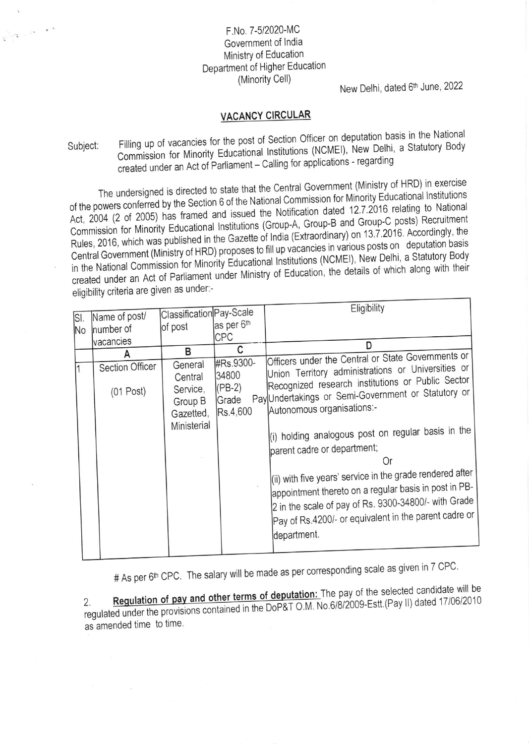## F.No. 7-5/2020-MC Government of India Ministry of Education Department of Higher Education (Minority Cell)

 $\tau_{\rm c} = \tau$ 

New Delhi, dated 6th June, 2022

## **VACANCY CIRCULAR**

Filling up of vacancies for the post of Section Officer on deputation basis in the National Commission for Minority Educational Institutions (NCMEI), New Delhi, a Statutory Body Subject: created under an Act of Parliament - Calling for applications - regarding

The undersigned is directed to state that the Central Government (Ministry of HRD) in exercise of the powers conferred by the Section 6 of the National Commission for Minority Educational Institutions Act, 2004 (2 of 2005) has framed and issued the Notification dated 12.7.2016 relating to National Commission for Minority Educational Institutions (Group-A, Group-B and Group-C posts) Recruitment Rules, 2016, which was published in the Gazette of India (Extraordinary) on 13.7.2016. Accordingly, the Central Government (Ministry of HRD) proposes to fill up vacancies in various posts on deputation basis in the National Commission for Minority Educational Institutions (NCMEI), New Delhi, a Statutory Body created under an Act of Parliament under Ministry of Education, the details of which along with their eligibility criteria are given as under:-

|     |                 | Classification Pay-Scale         |                               | Eligibility                                                                                                                                                                                                                                        |
|-----|-----------------|----------------------------------|-------------------------------|----------------------------------------------------------------------------------------------------------------------------------------------------------------------------------------------------------------------------------------------------|
| SI. | Name of post/   |                                  | as per 6th                    |                                                                                                                                                                                                                                                    |
| No. | number of       | of post                          | <b>CPC</b>                    |                                                                                                                                                                                                                                                    |
|     | vacancies       |                                  |                               | D                                                                                                                                                                                                                                                  |
|     |                 | В                                | C                             | Officers under the Central or State Governments or                                                                                                                                                                                                 |
|     | Section Officer | General<br>Central               | #Rs.9300-<br>34800            | Union Territory administrations or Universities or                                                                                                                                                                                                 |
|     | $(01$ Post)     | Service,<br>Group B<br>Gazetted, | $(PB-2)$<br>Grade<br>Rs.4,600 | Recognized research institutions or Public Sector<br>Pay Undertakings or Semi-Government or Statutory or<br>Autonomous organisations:-                                                                                                             |
|     |                 | Ministerial                      |                               | (i) holding analogous post on regular basis in the<br>parent cadre or department;<br>Or                                                                                                                                                            |
|     |                 |                                  |                               | (ii) with five years' service in the grade rendered after<br>appointment thereto on a regular basis in post in PB-<br>2 in the scale of pay of Rs. 9300-34800/- with Grade<br>Pay of Rs.4200/- or equivalent in the parent cadre or<br>department. |
|     |                 |                                  |                               |                                                                                                                                                                                                                                                    |

# As per 6<sup>th</sup> CPC. The salary will be made as per corresponding scale as given in 7 CPC.

Regulation of pay and other terms of deputation: The pay of the selected candidate will be regulated under the provisions contained in the DoP&T O.M. No.6/8/2009-Estt.(Pay II) dated 17/06/2010 as amended time to time.